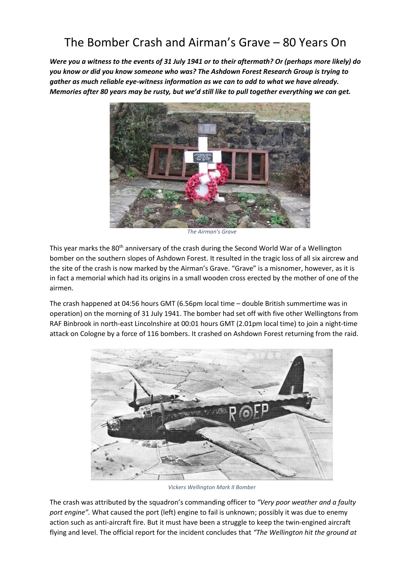## The Bomber Crash and Airman's Grave – 80 Years On

*Were you a witness to the events of 31 July 1941 or to their aftermath? Or (perhaps more likely) do you know or did you know someone who was? The Ashdown Forest Research Group is trying to gather as much reliable eye-witness information as we can to add to what we have already. Memories after 80 years may be rusty, but we'd still like to pull together everything we can get.*



*The Airman's Grave*

This year marks the 80<sup>th</sup> anniversary of the crash during the Second World War of a Wellington bomber on the southern slopes of Ashdown Forest. It resulted in the tragic loss of all six aircrew and the site of the crash is now marked by the Airman's Grave. "Grave" is a misnomer, however, as it is in fact a memorial which had its origins in a small wooden cross erected by the mother of one of the airmen.

The crash happened at 04:56 hours GMT (6.56pm local time – double British summertime was in operation) on the morning of 31 July 1941. The bomber had set off with five other Wellingtons from RAF Binbrook in north-east Lincolnshire at 00:01 hours GMT (2.01pm local time) to join a night-time attack on Cologne by a force of 116 bombers. It crashed on Ashdown Forest returning from the raid.



*Vickers Wellington Mark II Bomber*

The crash was attributed by the squadron's commanding officer to *"Very poor weather and a faulty port engine".* What caused the port (left) engine to fail is unknown; possibly it was due to enemy action such as anti-aircraft fire. But it must have been a struggle to keep the twin-engined aircraft flying and level. The official report for the incident concludes that *"The Wellington hit the ground at*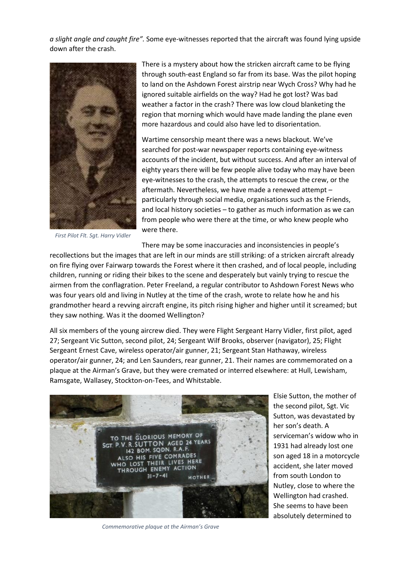*a slight angle and caught fire".* Some eye-witnesses reported that the aircraft was found lying upside down after the crash.



*First Pilot Flt. Sgt. Harry Vidler*

There is a mystery about how the stricken aircraft came to be flying through south-east England so far from its base. Was the pilot hoping to land on the Ashdown Forest airstrip near Wych Cross? Why had he ignored suitable airfields on the way? Had he got lost? Was bad weather a factor in the crash? There was low cloud blanketing the region that morning which would have made landing the plane even more hazardous and could also have led to disorientation.

Wartime censorship meant there was a news blackout. We've searched for post-war newspaper reports containing eye-witness accounts of the incident, but without success. And after an interval of eighty years there will be few people alive today who may have been eye-witnesses to the crash, the attempts to rescue the crew, or the aftermath. Nevertheless, we have made a renewed attempt – particularly through social media, organisations such as the Friends, and local history societies – to gather as much information as we can from people who were there at the time, or who knew people who were there.

There may be some inaccuracies and inconsistencies in people's

recollections but the images that are left in our minds are still striking: of a stricken aircraft already on fire flying over Fairwarp towards the Forest where it then crashed, and of local people, including children, running or riding their bikes to the scene and desperately but vainly trying to rescue the airmen from the conflagration. Peter Freeland, a regular contributor to Ashdown Forest News who was four years old and living in Nutley at the time of the crash, wrote to relate how he and his grandmother heard a revving aircraft engine, its pitch rising higher and higher until it screamed; but they saw nothing. Was it the doomed Wellington?

All six members of the young aircrew died. They were Flight Sergeant Harry Vidler, first pilot, aged 27; Sergeant Vic Sutton, second pilot, 24; Sergeant Wilf Brooks, observer (navigator), 25; Flight Sergeant Ernest Cave, wireless operator/air gunner, 21; Sergeant Stan Hathaway, wireless operator/air gunner, 24; and Len Saunders, rear gunner, 21. Their names are commemorated on a plaque at the Airman's Grave, but they were cremated or interred elsewhere: at Hull, Lewisham, Ramsgate, Wallasey, Stockton-on-Tees, and Whitstable.



*Commemorative plaque at the Airman's Grave*

Elsie Sutton, the mother of the second pilot, Sgt. Vic Sutton, was devastated by her son's death. A serviceman's widow who in 1931 had already lost one son aged 18 in a motorcycle accident, she later moved from south London to Nutley, close to where the Wellington had crashed. She seems to have been absolutely determined to